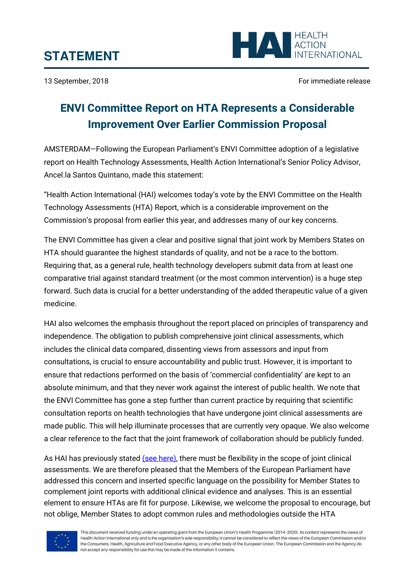

13 September, 2018 **For immediate release** For immediate release

## **ENVI Committee Report on HTA Represents a Considerable Improvement Over Earlier Commission Proposal**

AMSTERDAM—Following the European Parliament's ENVI Committee adoption of a legislative report on Health Technology Assessments, Health Action International's Senior Policy Advisor, Ancel.la Santos Quintano, made this statement:

"Health Action International (HAI) welcomes today's vote by the ENVI Committee on the Health Technology Assessments (HTA) Report, which is a considerable improvement on the Commission's proposal from earlier this year, and addresses many of our key concerns.

The ENVI Committee has given a clear and positive signal that joint work by Members States on HTA should guarantee the highest standards of quality, and not be a race to the bottom. Requiring that, as a general rule, health technology developers submit data from at least one comparative trial against standard treatment (or the most common intervention) is a huge step forward. Such data is crucial for a better understanding of the added therapeutic value of a given medicine.

HAI also welcomes the emphasis throughout the report placed on principles of transparency and independence. The obligation to publish comprehensive joint clinical assessments, which includes the clinical data compared, dissenting views from assessors and input from consultations, is crucial to ensure accountability and public trust. However, it is important to ensure that redactions performed on the basis of 'commercial confidentiality' are kept to an absolute minimum, and that they never work against the interest of public health. We note that the ENVI Committee has gone a step further than current practice by requiring that scientific consultation reports on health technologies that have undergone joint clinical assessments are made public. This will help illuminate processes that are currently very opaque. We also welcome a clear reference to the fact that the joint framework of collaboration should be publicly funded.

As HAI has previously stated [\(see here\),](http://haiweb.org/wp-content/uploads/2018/06/Health-Technology-Assessments-EU-Key-Recommendations-1.pdf) there must be flexibility in the scope of joint clinical assessments. We are therefore pleased that the Members of the European Parliament have addressed this concern and inserted specific language on the possibility for Member States to complement joint reports with additional clinical evidence and analyses. This is an essential element to ensure HTAs are fit for purpose. Likewise, we welcome the proposal to encourage, but not oblige, Member States to adopt common rules and methodologies outside the HTA